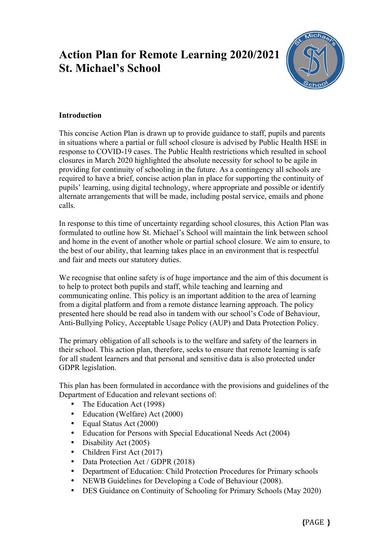# **Action Plan for Remote Learning 2020/2021 St. Michael's School**



## **Introduction**

This concise Action Plan is drawn up to provide guidance to staff, pupils and parents in situations where a partial or full school closure is advised by Public Health HSE in response to COVID-19 cases. The Public Health restrictions which resulted in school closures in March 2020 highlighted the absolute necessity for school to be agile in providing for continuity of schooling in the future. As a contingency all schools are required to have a brief, concise action plan in place for supporting the continuity of pupils' learning, using digital technology, where appropriate and possible or identify alternate arrangements that will be made, including postal service, emails and phone calls.

In response to this time of uncertainty regarding school closures, this Action Plan was formulated to outline how St. Michael's School will maintain the link between school and home in the event of another whole or partial school closure. We aim to ensure, to the best of our ability, that learning takes place in an environment that is respectful and fair and meets our statutory duties.

We recognise that online safety is of huge importance and the aim of this document is to help to protect both pupils and staff, while teaching and learning and communicating online. This policy is an important addition to the area of learning from a digital platform and from a remote distance learning approach. The policy presented here should be read also in tandem with our school's Code of Behaviour, Anti-Bullying Policy, Acceptable Usage Policy (AUP) and Data Protection Policy.

The primary obligation of all schools is to the welfare and safety of the learners in their school. This action plan, therefore, seeks to ensure that remote learning is safe for all student learners and that personal and sensitive data is also protected under GDPR legislation.

This plan has been formulated in accordance with the provisions and guidelines of the Department of Education and relevant sections of:

- The Education Act (1998)
- Education (Welfare) Act (2000)
- Equal Status Act (2000)
- Education for Persons with Special Educational Needs Act (2004)
- Disability Act (2005)
- Children First Act (2017)
- Data Protection Act / GDPR (2018)
- Department of Education: Child Protection Procedures for Primary schools
- NEWB Guidelines for Developing a Code of Behaviour (2008).
- DES Guidance on Continuity of Schooling for Primary Schools (May 2020)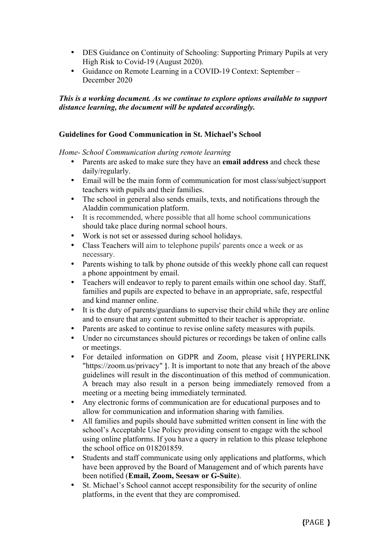- DES Guidance on Continuity of Schooling: Supporting Primary Pupils at very High Risk to Covid-19 (August 2020).
- Guidance on Remote Learning in a COVID-19 Context: September December 2020

### *This is a working document. As we continue to explore options available to support distance learning, the document will be updated accordingly.*

### **Guidelines for Good Communication in St. Michael's School**

*Home- School Communication during remote learning*

- Parents are asked to make sure they have an **email address** and check these daily/regularly.
- Email will be the main form of communication for most class/subject/support teachers with pupils and their families.
- The school in general also sends emails, texts, and notifications through the Aladdin communication platform.
- It is recommended, where possible that all home school communications should take place during normal school hours.
- Work is not set or assessed during school holidays.
- Class Teachers will aim to telephone pupils' parents once a week or as necessary.
- Parents wishing to talk by phone outside of this weekly phone call can request a phone appointment by email.
- Teachers will endeavor to reply to parent emails within one school day. Staff, families and pupils are expected to behave in an appropriate, safe, respectful and kind manner online.
- It is the duty of parents/guardians to supervise their child while they are online and to ensure that any content submitted to their teacher is appropriate.
- Parents are asked to continue to revise online safety measures with pupils.
- Under no circumstances should pictures or recordings be taken of online calls or meetings.
- For detailed information on GDPR and Zoom, please visit **{** HYPERLINK "https://zoom.us/privacy" **}**. It is important to note that any breach of the above guidelines will result in the discontinuation of this method of communication. A breach may also result in a person being immediately removed from a meeting or a meeting being immediately terminated.
- Any electronic forms of communication are for educational purposes and to allow for communication and information sharing with families.
- All families and pupils should have submitted written consent in line with the school's Acceptable Use Policy providing consent to engage with the school using online platforms. If you have a query in relation to this please telephone the school office on 018201859.
- Students and staff communicate using only applications and platforms, which have been approved by the Board of Management and of which parents have been notified (**Email, Zoom, Seesaw or G-Suite**).
- St. Michael's School cannot accept responsibility for the security of online platforms, in the event that they are compromised.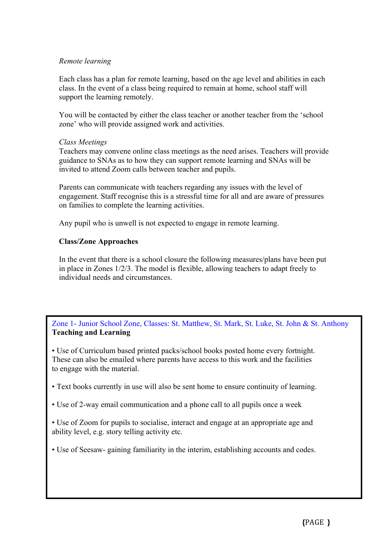### *Remote learning*

Each class has a plan for remote learning, based on the age level and abilities in each class. In the event of a class being required to remain at home, school staff will support the learning remotely.

You will be contacted by either the class teacher or another teacher from the 'school zone' who will provide assigned work and activities.

### *Class Meetings*

Teachers may convene online class meetings as the need arises. Teachers will provide guidance to SNAs as to how they can support remote learning and SNAs will be invited to attend Zoom calls between teacher and pupils.

Parents can communicate with teachers regarding any issues with the level of engagement. Staff recognise this is a stressful time for all and are aware of pressures on families to complete the learning activities.

Any pupil who is unwell is not expected to engage in remote learning.

### **Class/Zone Approaches**

In the event that there is a school closure the following measures/plans have been put in place in Zones 1/2/3. The model is flexible, allowing teachers to adapt freely to individual needs and circumstances.

Zone 1- Junior School Zone, Classes: St. Matthew, St. Mark, St. Luke, St. John & St. Anthony **Teaching and Learning**

• Use of Curriculum based printed packs/school books posted home every fortnight. These can also be emailed where parents have access to this work and the facilities to engage with the material.

- Text books currently in use will also be sent home to ensure continuity of learning.
- Use of 2-way email communication and a phone call to all pupils once a week
- Use of Zoom for pupils to socialise, interact and engage at an appropriate age and ability level, e.g. story telling activity etc.
- Use of Seesaw- gaining familiarity in the interim, establishing accounts and codes.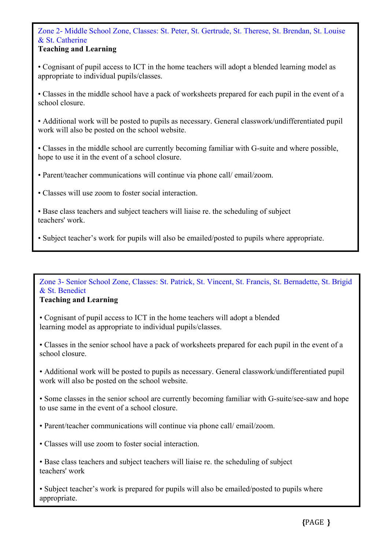# Zone 2- Middle School Zone, Classes: St. Peter, St. Gertrude, St. Therese, St. Brendan, St. Louise & St. Catherine

## **Teaching and Learning**

- Cognisant of pupil access to ICT in the home teachers will adopt a blended learning model as appropriate to individual pupils/classes.
- Classes in the middle school have a pack of worksheets prepared for each pupil in the event of a school closure.

• Additional work will be posted to pupils as necessary. General classwork/undifferentiated pupil work will also be posted on the school website.

• Classes in the middle school are currently becoming familiar with G-suite and where possible, hope to use it in the event of a school closure.

- Parent/teacher communications will continue via phone call/ email/zoom.
- Classes will use zoom to foster social interaction.
- Base class teachers and subject teachers will liaise re. the scheduling of subject teachers' work.
- Subject teacher's work for pupils will also be emailed/posted to pupils where appropriate.

# Zone 3- Senior School Zone, Classes: St. Patrick, St. Vincent, St. Francis, St. Bernadette, St. Brigid & St. Benedict

# **Teaching and Learning**

• Cognisant of pupil access to ICT in the home teachers will adopt a blended learning model as appropriate to individual pupils/classes.

• Classes in the senior school have a pack of worksheets prepared for each pupil in the event of a school closure.

• Additional work will be posted to pupils as necessary. General classwork/undifferentiated pupil work will also be posted on the school website.

• Some classes in the senior school are currently becoming familiar with G-suite/see-saw and hope to use same in the event of a school closure.

• Parent/teacher communications will continue via phone call/ email/zoom.

• Classes will use zoom to foster social interaction.

• Base class teachers and subject teachers will liaise re. the scheduling of subject teachers' work

• Subject teacher's work is prepared for pupils will also be emailed/posted to pupils where appropriate.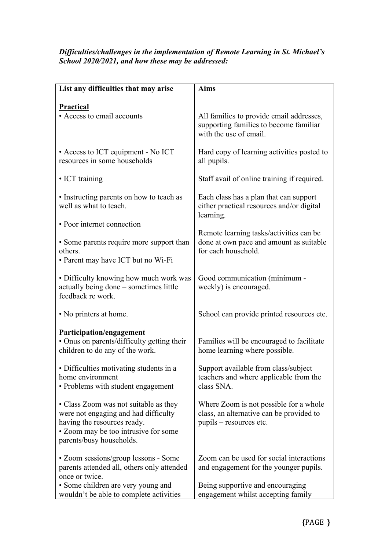### *Difficulties/challenges in the implementation of Remote Learning in St. Michael's School 2020/2021, and how these may be addressed:*

| List any difficulties that may arise                                                                                                                                             | <b>Aims</b>                                                                                                   |
|----------------------------------------------------------------------------------------------------------------------------------------------------------------------------------|---------------------------------------------------------------------------------------------------------------|
| <b>Practical</b><br>• Access to email accounts                                                                                                                                   | All families to provide email addresses,<br>supporting families to become familiar<br>with the use of email.  |
| • Access to ICT equipment - No ICT<br>resources in some households                                                                                                               | Hard copy of learning activities posted to<br>all pupils.                                                     |
| • ICT training                                                                                                                                                                   | Staff avail of online training if required.                                                                   |
| • Instructing parents on how to teach as<br>well as what to teach.                                                                                                               | Each class has a plan that can support<br>either practical resources and/or digital<br>learning.              |
| • Poor internet connection<br>• Some parents require more support than<br>others.<br>• Parent may have ICT but no Wi-Fi                                                          | Remote learning tasks/activities can be<br>done at own pace and amount as suitable<br>for each household.     |
| • Difficulty knowing how much work was<br>actually being done – sometimes little<br>feedback re work.                                                                            | Good communication (minimum -<br>weekly) is encouraged.                                                       |
| • No printers at home.                                                                                                                                                           | School can provide printed resources etc.                                                                     |
| <b>Participation/engagement</b><br>• Onus on parents/difficulty getting their<br>children to do any of the work.                                                                 | Families will be encouraged to facilitate<br>home learning where possible.                                    |
| • Difficulties motivating students in a<br>home environment<br>• Problems with student engagement                                                                                | Support available from class/subject<br>teachers and where applicable from the<br>class SNA.                  |
| • Class Zoom was not suitable as they<br>were not engaging and had difficulty<br>having the resources ready.<br>• Zoom may be too intrusive for some<br>parents/busy households. | Where Zoom is not possible for a whole<br>class, an alternative can be provided to<br>pupils - resources etc. |
| • Zoom sessions/group lessons - Some<br>parents attended all, others only attended<br>once or twice.                                                                             | Zoom can be used for social interactions<br>and engagement for the younger pupils.                            |
| • Some children are very young and<br>wouldn't be able to complete activities                                                                                                    | Being supportive and encouraging<br>engagement whilst accepting family                                        |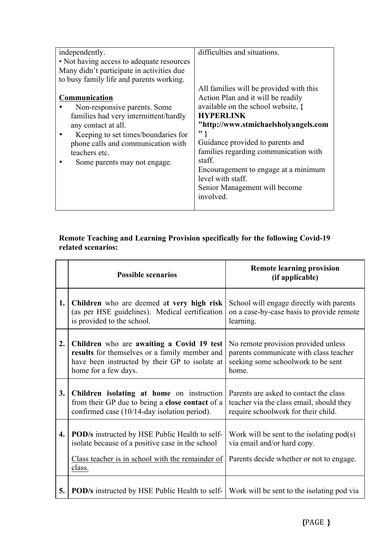| independently.                            | difficulties and situations.            |
|-------------------------------------------|-----------------------------------------|
| • Not having access to adequate resources |                                         |
| Many didn't participate in activities due |                                         |
| to busy family life and parents working.  |                                         |
|                                           | All families will be provided with this |
| Communication                             | Action Plan and it will be readily      |
| Non-responsive parents. Some              | available on the school website, {      |
| families had very intermittent/hardly     | <b>HYPERLINK</b>                        |
| any contact at all.                       | "http://www.stmichaelsholyangels.com    |
| Keeping to set times/boundaries for       | " }                                     |
| phone calls and communication with        | Guidance provided to parents and        |
| teachers etc.                             | families regarding communication with   |
| Some parents may not engage.              | staff.                                  |
|                                           | Encouragement to engage at a minimum    |
|                                           | level with staff.                       |
|                                           | Senior Management will become           |
|                                           | involved.                               |
|                                           |                                         |

### **Remote Teaching and Learning Provision specifically for the following Covid-19 related scenarios:**

|     | <b>Possible scenarios</b>                                                                                                                                                | <b>Remote learning provision</b><br>(if applicable)                                                                          |
|-----|--------------------------------------------------------------------------------------------------------------------------------------------------------------------------|------------------------------------------------------------------------------------------------------------------------------|
| 1.  | Children who are deemed at very high risk<br>(as per HSE guidelines). Medical certification<br>is provided to the school.                                                | School will engage directly with parents<br>on a case-by-case basis to provide remote<br>learning.                           |
| 2.  | Children who are awaiting a Covid 19 test<br>results for themselves or a family member and<br>have been instructed by their GP to isolate at<br>home for a few days.     | No remote provision provided unless<br>parents communicate with class teacher<br>seeking some schoolwork to be sent<br>home. |
| 3.  | Children isolating at home on instruction<br>from their GP due to being a close contact of a<br>confirmed case (10/14-day isolation period).                             | Parents are asked to contact the class<br>teacher via the class email, should they<br>require schoolwork for their child.    |
| 4.1 | <b>POD</b> /s instructed by HSE Public Health to self-<br>isolate because of a positive case in the school<br>Class teacher is in school with the remainder of<br>class. | Work will be sent to the isolating $pod(s)$<br>via email and/or hard copy.<br>Parents decide whether or not to engage.       |
|     | <b>5.</b> POD/s instructed by HSE Public Health to self-                                                                                                                 | Work will be sent to the isolating pod via                                                                                   |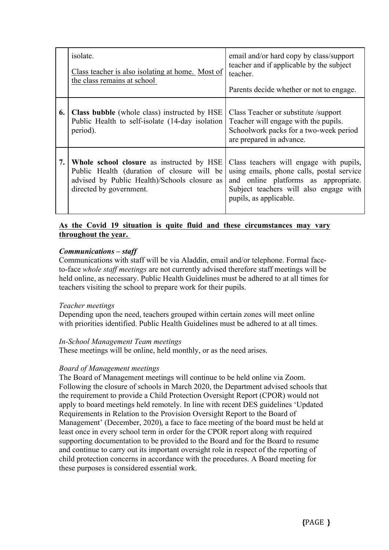|    | isolate.<br>Class teacher is also isolating at home. Most of<br>the class remains at school                                                                        | email and/or hard copy by class/support<br>teacher and if applicable by the subject<br>teacher.<br>Parents decide whether or not to engage.                                                      |
|----|--------------------------------------------------------------------------------------------------------------------------------------------------------------------|--------------------------------------------------------------------------------------------------------------------------------------------------------------------------------------------------|
| 6. | <b>Class bubble</b> (whole class) instructed by HSE<br>Public Health to self-isolate (14-day isolation<br>period).                                                 | Class Teacher or substitute /support<br>Teacher will engage with the pupils.<br>Schoolwork packs for a two-week period<br>are prepared in advance.                                               |
| 7. | Whole school closure as instructed by HSE<br>Public Health (duration of closure will be<br>advised by Public Health)/Schools closure as<br>directed by government. | Class teachers will engage with pupils,<br>using emails, phone calls, postal service<br>and online platforms as appropriate.<br>Subject teachers will also engage with<br>pupils, as applicable. |

### **As the Covid 19 situation is quite fluid and these circumstances may vary throughout the year.**

### *Communications – staff*

Communications with staff will be via Aladdin, email and/or telephone. Formal faceto-face *whole staff meetings* are not currently advised therefore staff meetings will be held online, as necessary. Public Health Guidelines must be adhered to at all times for teachers visiting the school to prepare work for their pupils.

### *Teacher meetings*

Depending upon the need, teachers grouped within certain zones will meet online with priorities identified. Public Health Guidelines must be adhered to at all times.

### *In-School Management Team meetings*

These meetings will be online, held monthly, or as the need arises.

### *Board of Management meetings*

The Board of Management meetings will continue to be held online via Zoom. Following the closure of schools in March 2020, the Department advised schools that the requirement to provide a Child Protection Oversight Report (CPOR) would not apply to board meetings held remotely. In line with recent DES guidelines 'Updated Requirements in Relation to the Provision Oversight Report to the Board of Management' (December, 2020), a face to face meeting of the board must be held at least once in every school term in order for the CPOR report along with required supporting documentation to be provided to the Board and for the Board to resume and continue to carry out its important oversight role in respect of the reporting of child protection concerns in accordance with the procedures. A Board meeting for these purposes is considered essential work.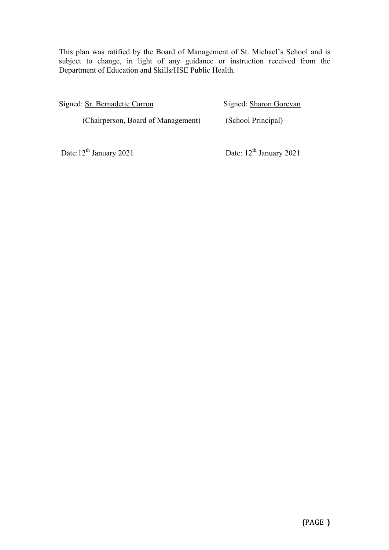This plan was ratified by the Board of Management of St. Michael's School and is subject to change, in light of any guidance or instruction received from the Department of Education and Skills/HSE Public Health.

Signed: Sr. Bernadette Carron Signed: Sharon Gorevan

(Chairperson, Board of Management) (School Principal)

Date: 12<sup>th</sup> January 2021 Date: 12<sup>th</sup> January 2021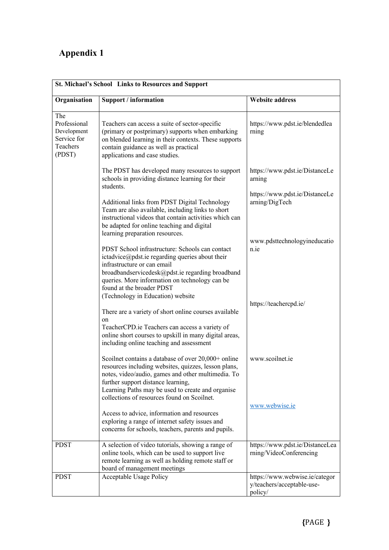# **Appendix 1**

| St. Michael's School Links to Resources and Support                     |                                                                                                                                                                                                                                                                                                             |                                                                         |
|-------------------------------------------------------------------------|-------------------------------------------------------------------------------------------------------------------------------------------------------------------------------------------------------------------------------------------------------------------------------------------------------------|-------------------------------------------------------------------------|
| Organisation                                                            | <b>Support / information</b>                                                                                                                                                                                                                                                                                | <b>Website address</b>                                                  |
| The<br>Professional<br>Development<br>Service for<br>Teachers<br>(PDST) | Teachers can access a suite of sector-specific<br>(primary or postprimary) supports when embarking<br>on blended learning in their contexts. These supports<br>contain guidance as well as practical<br>applications and case studies.                                                                      | https://www.pdst.ie/blendedlea<br>ming                                  |
|                                                                         | The PDST has developed many resources to support<br>schools in providing distance learning for their<br>students.                                                                                                                                                                                           | https://www.pdst.ie/DistanceLe<br>arning                                |
|                                                                         | Additional links from PDST Digital Technology<br>Team are also available, including links to short<br>instructional videos that contain activities which can<br>be adapted for online teaching and digital<br>learning preparation resources.                                                               | https://www.pdst.ie/DistanceLe<br>arning/DigTech                        |
|                                                                         | PDST School infrastructure: Schools can contact<br>ictadvice@pdst.ie regarding queries about their<br>infrastructure or can email<br>broadbandservicedesk@pdst.ie regarding broadband<br>queries. More information on technology can be<br>found at the broader PDST                                        | www.pdsttechnologyineducatio<br>n.ie                                    |
|                                                                         | (Technology in Education) website<br>There are a variety of short online courses available<br>on<br>TeacherCPD.ie Teachers can access a variety of<br>online short courses to upskill in many digital areas,<br>including online teaching and assessment                                                    | https://teachercpd.ie/                                                  |
|                                                                         | Scoilnet contains a database of over 20,000+ online<br>resources including websites, quizzes, lesson plans,<br>notes, video/audio, games and other multimedia. To<br>further support distance learning,<br>Learning Paths may be used to create and organise<br>collections of resources found on Scoilnet. | www.scoilnet.ie                                                         |
|                                                                         | Access to advice, information and resources<br>exploring a range of internet safety issues and<br>concerns for schools, teachers, parents and pupils.                                                                                                                                                       | www.webwise.ie                                                          |
| <b>PDST</b>                                                             | A selection of video tutorials, showing a range of<br>online tools, which can be used to support live<br>remote learning as well as holding remote staff or<br>board of management meetings                                                                                                                 | https://www.pdst.ie/DistanceLea<br>rning/VideoConferencing              |
| <b>PDST</b>                                                             | Acceptable Usage Policy                                                                                                                                                                                                                                                                                     | https://www.webwise.ie/categor<br>y/teachers/acceptable-use-<br>policy/ |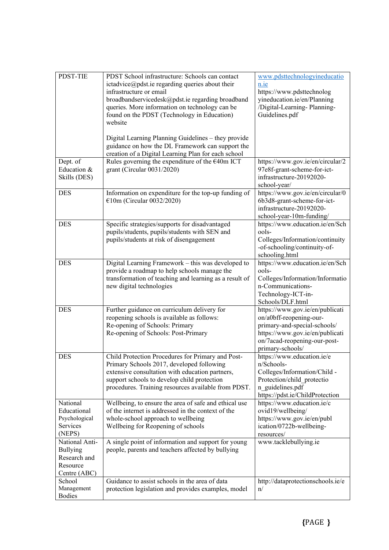| PDST-TIE                                                                      | PDST School infrastructure: Schools can contact<br>ictadvice@pdst.ie regarding queries about their<br>infrastructure or email<br>broadbandservicedesk@pdst.ie regarding broadband<br>queries. More information on technology can be<br>found on the PDST (Technology in Education)<br>website<br>Digital Learning Planning Guidelines – they provide<br>guidance on how the DL Framework can support the<br>creation of a Digital Learning Plan for each school | www.pdsttechnologyineducatio<br>$n$ .ie<br>https://www.pdsttechnolog<br>yineducation.ie/en/Planning<br>/Digital-Learning- Planning-<br>Guidelines.pdf                             |
|-------------------------------------------------------------------------------|-----------------------------------------------------------------------------------------------------------------------------------------------------------------------------------------------------------------------------------------------------------------------------------------------------------------------------------------------------------------------------------------------------------------------------------------------------------------|-----------------------------------------------------------------------------------------------------------------------------------------------------------------------------------|
| Dept. of<br>Education &<br>Skills (DES)                                       | Rules governing the expenditure of the $E40m$ ICT<br>grant (Circular 0031/2020)                                                                                                                                                                                                                                                                                                                                                                                 | https://www.gov.ie/en/circular/2<br>97e8f-grant-scheme-for-ict-<br>infrastructure-20192020-<br>school-year/                                                                       |
| <b>DES</b>                                                                    | Information on expenditure for the top-up funding of<br>€10m (Circular 0032/2020)                                                                                                                                                                                                                                                                                                                                                                               | https://www.gov.ie/en/circular/0<br>6b3d8-grant-scheme-for-ict-<br>infrastructure-20192020-<br>school-year-10m-funding/                                                           |
| <b>DES</b>                                                                    | Specific strategies/supports for disadvantaged<br>pupils/students, pupils/students with SEN and<br>pupils/students at risk of disengagement                                                                                                                                                                                                                                                                                                                     | https://www.education.ie/en/Sch<br>ools-<br>Colleges/Information/continuity<br>-of-schooling/continuity-of-<br>schooling.html                                                     |
| <b>DES</b>                                                                    | Digital Learning Framework – this was developed to<br>provide a roadmap to help schools manage the<br>transformation of teaching and learning as a result of<br>new digital technologies                                                                                                                                                                                                                                                                        | https://www.education.ie/en/Sch<br>ools-<br>Colleges/Information/Informatio<br>n-Communications-<br>Technology-ICT-in-<br>Schools/DLF.html                                        |
| <b>DES</b>                                                                    | Further guidance on curriculum delivery for<br>reopening schools is available as follows:<br>Re-opening of Schools: Primary<br>Re-opening of Schools: Post-Primary                                                                                                                                                                                                                                                                                              | https://www.gov.ie/en/publicati<br>on/a0bff-reopening-our-<br>primary-and-special-schools/<br>https://www.gov.ie/en/publicati<br>on/7acad-reopening-our-post-<br>primary-schools/ |
| <b>DES</b>                                                                    | Child Protection Procedures for Primary and Post-<br>Primary Schools 2017, developed following<br>extensive consultation with education partners,<br>support schools to develop child protection<br>procedures. Training resources available from PDST.                                                                                                                                                                                                         | https://www.education.ie/e<br>n/Schools-<br>Colleges/Information/Child -<br>Protection/child protectio<br>n_guidelines.pdf<br>https://pdst.ie/ChildProtection                     |
| National<br>Educational<br>Psychological<br>Services<br>(NEPS)                | Wellbeing, to ensure the area of safe and ethical use<br>of the internet is addressed in the context of the<br>whole-school approach to wellbeing<br>Wellbeing for Reopening of schools                                                                                                                                                                                                                                                                         | https://www.education.ie/c<br>ovid19/wellbeing/<br>https://www.gov.ie/en/publ<br>ication/0722b-wellbeing-<br>resources/                                                           |
| National Anti-<br><b>Bullying</b><br>Research and<br>Resource<br>Centre (ABC) | A single point of information and support for young<br>people, parents and teachers affected by bullying                                                                                                                                                                                                                                                                                                                                                        | www.tacklebullying.ie                                                                                                                                                             |
| School<br>Management<br><b>Bodies</b>                                         | Guidance to assist schools in the area of data<br>protection legislation and provides examples, model                                                                                                                                                                                                                                                                                                                                                           | http://dataprotectionschools.ie/e<br>$\eta$ /                                                                                                                                     |